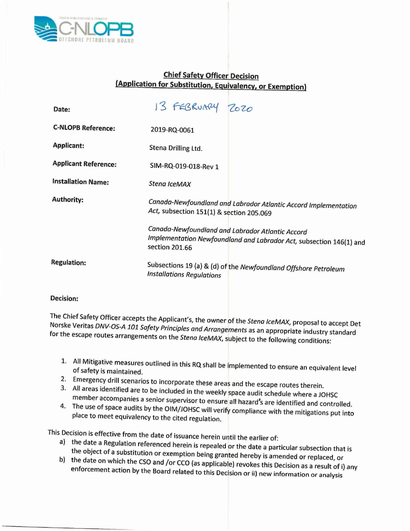

## **Chief Safety Officer Decision (Application for Substitution, Equivalency, or Exemption)**

| Date:                       | 13 FEBRUARY 2020                                                                                                                          |
|-----------------------------|-------------------------------------------------------------------------------------------------------------------------------------------|
| <b>C-NLOPB Reference:</b>   | 2019-RQ-0061                                                                                                                              |
| <b>Applicant:</b>           | Stena Drilling Ltd.                                                                                                                       |
| <b>Applicant Reference:</b> | SIM-RQ-019-018-Rev 1                                                                                                                      |
| <b>Installation Name:</b>   | Stena IceMAX                                                                                                                              |
| <b>Authority:</b>           | Canada-Newfoundland and Labrador Atlantic Accord Implementation<br>Act, subsection 151(1) & section 205.069                               |
|                             | Canada-Newfoundland and Labrador Atlantic Accord<br>Implementation Newfoundland and Labrador Act, subsection 146(1) and<br>section 201.66 |
| <b>Regulation:</b>          | Subsections 19 (a) & (d) of the Newfoundland Offshore Petroleum<br><b>Installations Regulations</b>                                       |
|                             |                                                                                                                                           |

## **Decision:**

The Chief Safety Officer accepts the Applicant's, the owner of the *Stena IceMAX,* proposal to accept Det Norske Veritas *DNV-OS-A 101 Safety Principles and Arrongements* as an appropriate industry standard for the escape routes arrangements on the *Stena IceMAX,* subject to the following conditions:

- 1. **All** Mitigative measures outlined in this RQ shall be implemented to ensure an equivalent level of safety is maintained.
- 2. Emergency drill scenarios to incorporate these areas and the escape routes therein.
- 3. All areas identified are to be included in the weekly space audit schedule where a JOHSC member accompanies a senior supervisor to ensure all hazard's are identified and controlled.
- 4. The use of space audits by the OIM/JOHSC will verify compliance with the mitigations put into place to meet equivalency to the cited regulation.

This Decision is effective from the date of issuance herein until the earlier of:

- a) the date a Regulation referenced herein is repealed or the date a particular subsection that is the object of a substitution or exemption being granted hereby is amended or replaced, or
- b) the date on which the CSOand *[o:* CCO (as applicable) revokes this Decision as a result of i) any enforcement action by the Board related to this Decision or ii) new information or analysis